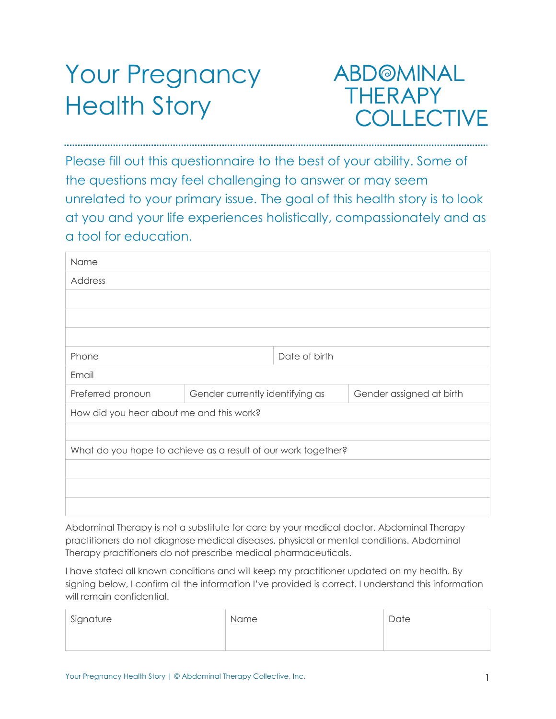# Your Pregnancy Health Story

# **ABD@MINAL THERAPY** COLLECTIVE

Please fill out this questionnaire to the best of your ability. Some of the questions may feel challenging to answer or may seem unrelated to your primary issue. The goal of this health story is to look at you and your life experiences holistically, compassionately and as a tool for education.

| Name                                                          |                                                             |               |  |
|---------------------------------------------------------------|-------------------------------------------------------------|---------------|--|
| Address                                                       |                                                             |               |  |
|                                                               |                                                             |               |  |
|                                                               |                                                             |               |  |
|                                                               |                                                             |               |  |
| Phone                                                         |                                                             | Date of birth |  |
| Email                                                         |                                                             |               |  |
| Preferred pronoun                                             | Gender currently identifying as<br>Gender assigned at birth |               |  |
| How did you hear about me and this work?                      |                                                             |               |  |
|                                                               |                                                             |               |  |
| What do you hope to achieve as a result of our work together? |                                                             |               |  |
|                                                               |                                                             |               |  |
|                                                               |                                                             |               |  |
|                                                               |                                                             |               |  |

Abdominal Therapy is not a substitute for care by your medical doctor. Abdominal Therapy practitioners do not diagnose medical diseases, physical or mental conditions. Abdominal Therapy practitioners do not prescribe medical pharmaceuticals.

I have stated all known conditions and will keep my practitioner updated on my health. By signing below, I confirm all the information I've provided is correct. I understand this information will remain confidential.

| Signature | Name | Date |
|-----------|------|------|
|           |      |      |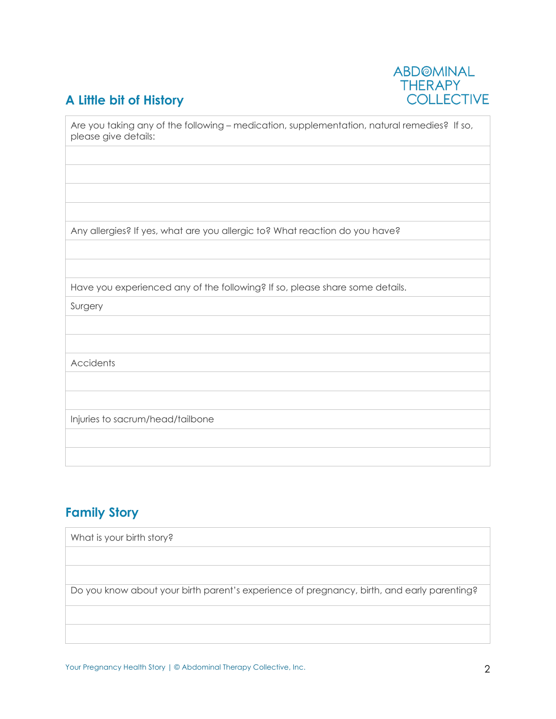# **A Little bit of History**



| Are you taking any of the following – medication, supplementation, natural remedies? If so,<br>please give details: |
|---------------------------------------------------------------------------------------------------------------------|
|                                                                                                                     |
|                                                                                                                     |
|                                                                                                                     |
| Any allergies? If yes, what are you allergic to? What reaction do you have?                                         |
|                                                                                                                     |
| Have you experienced any of the following? If so, please share some details.                                        |
| Surgery                                                                                                             |
|                                                                                                                     |
|                                                                                                                     |
| <b>Accidents</b>                                                                                                    |
|                                                                                                                     |
|                                                                                                                     |
| Injuries to sacrum/head/tailbone                                                                                    |
|                                                                                                                     |
|                                                                                                                     |

## **Family Story**

| What is your birth story?                                                                  |
|--------------------------------------------------------------------------------------------|
|                                                                                            |
|                                                                                            |
| Do you know about your birth parent's experience of pregnancy, birth, and early parenting? |
|                                                                                            |
|                                                                                            |

Your Pregnancy Health Story | © Abdominal Therapy Collective, Inc. 22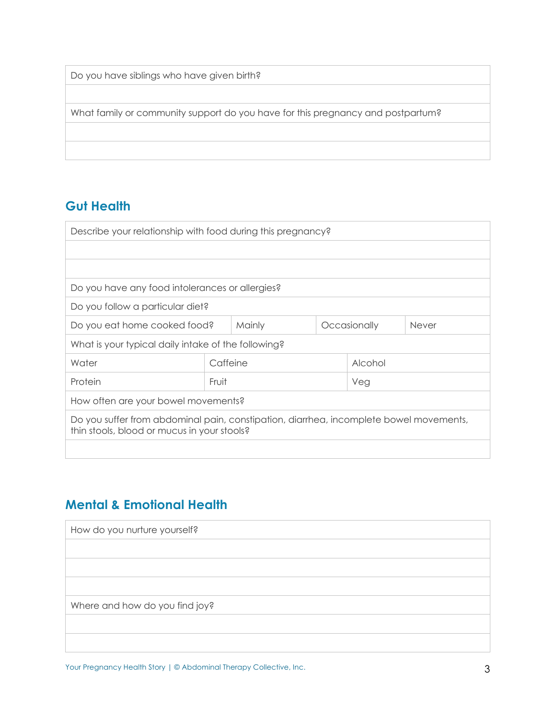| Do you have siblings who have given birth? |  |
|--------------------------------------------|--|
|--------------------------------------------|--|

What family or community support do you have for this pregnancy and postpartum?

#### **Gut Health**

| Describe your relationship with food during this pregnancy?                                                                           |          |  |              |         |  |
|---------------------------------------------------------------------------------------------------------------------------------------|----------|--|--------------|---------|--|
|                                                                                                                                       |          |  |              |         |  |
|                                                                                                                                       |          |  |              |         |  |
| Do you have any food intolerances or allergies?                                                                                       |          |  |              |         |  |
| Do you follow a particular diet?                                                                                                      |          |  |              |         |  |
| <b>Mainly</b><br>Do you eat home cooked food?<br>Occasionally                                                                         |          |  | <b>Never</b> |         |  |
| What is your typical daily intake of the following?                                                                                   |          |  |              |         |  |
| Water                                                                                                                                 | Caffeine |  |              | Alcohol |  |
| Protein                                                                                                                               | Fruit    |  | Veg          |         |  |
| How often are your bowel movements?                                                                                                   |          |  |              |         |  |
| Do you suffer from abdominal pain, constipation, diarrhea, incomplete bowel movements,<br>thin stools, blood or mucus in your stools? |          |  |              |         |  |
|                                                                                                                                       |          |  |              |         |  |

### **Mental & Emotional Health**

| How do you nurture yourself?   |  |
|--------------------------------|--|
|                                |  |
|                                |  |
|                                |  |
| Where and how do you find joy? |  |
|                                |  |
|                                |  |

Your Pregnancy Health Story | © Abdominal Therapy Collective, Inc. 3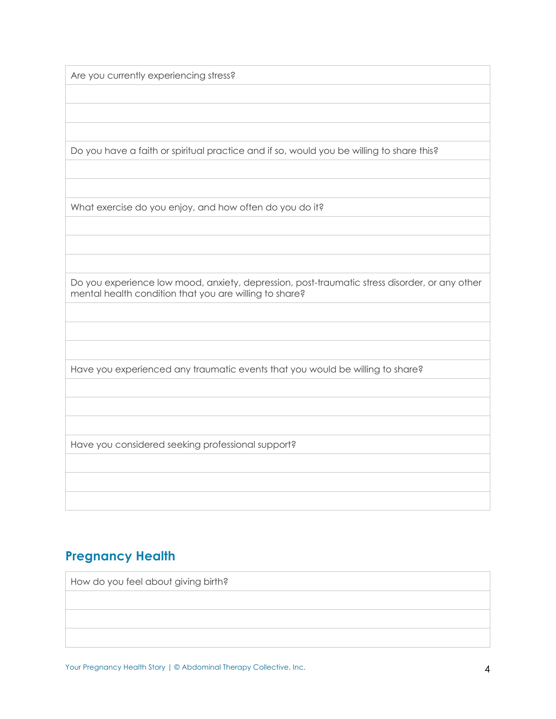Are you currently experiencing stress?

Do you have a faith or spiritual practice and if so, would you be willing to share this?

What exercise do you enjoy, and how often do you do it?

Do you experience low mood, anxiety, depression, post-traumatic stress disorder, or any other mental health condition that you are willing to share?

Have you experienced any traumatic events that you would be willing to share?

Have you considered seeking professional support?

#### **Pregnancy Health**

How do you feel about giving birth?

Your Pregnancy Health Story | © Abdominal Therapy Collective, Inc. 4 4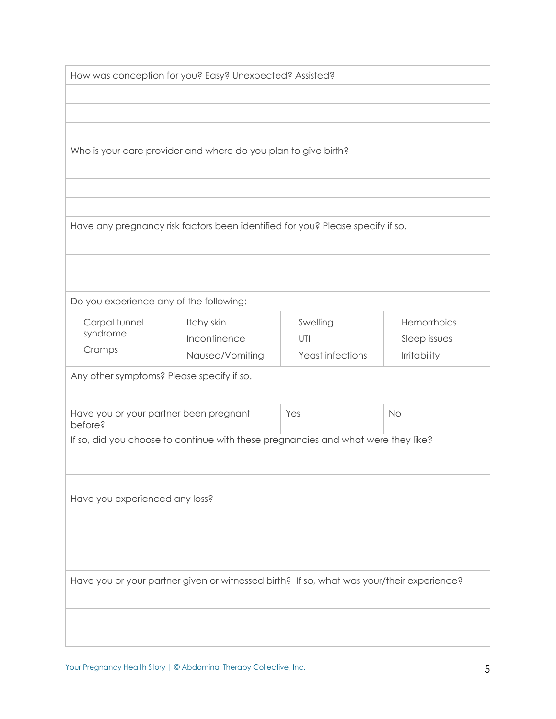| How was conception for you? Easy? Unexpected? Assisted? |
|---------------------------------------------------------|
|---------------------------------------------------------|

Who is your care provider and where do you plan to give birth?

Have any pregnancy risk factors been identified for you? Please specify if so.

Do you experience any of the following:

| Carpal tunnel<br>syndrome<br>Cramps                                               | Itchy skin<br>Incontinence<br>Nausea/Vomiting                                             | Swelling<br>UTI<br>Yeast infections | Hemorrhoids<br>Sleep issues<br><b>Irritability</b> |  |  |
|-----------------------------------------------------------------------------------|-------------------------------------------------------------------------------------------|-------------------------------------|----------------------------------------------------|--|--|
| Any other symptoms? Please specify if so.                                         |                                                                                           |                                     |                                                    |  |  |
| Have you or your partner been pregnant<br>before?                                 |                                                                                           | Yes                                 | <b>No</b>                                          |  |  |
| If so, did you choose to continue with these pregnancies and what were they like? |                                                                                           |                                     |                                                    |  |  |
|                                                                                   |                                                                                           |                                     |                                                    |  |  |
|                                                                                   |                                                                                           |                                     |                                                    |  |  |
| Have you experienced any loss?                                                    |                                                                                           |                                     |                                                    |  |  |
|                                                                                   |                                                                                           |                                     |                                                    |  |  |
|                                                                                   |                                                                                           |                                     |                                                    |  |  |
|                                                                                   |                                                                                           |                                     |                                                    |  |  |
|                                                                                   | Have you or your partner given or witnessed birth? If so, what was your/their experience? |                                     |                                                    |  |  |
|                                                                                   |                                                                                           |                                     |                                                    |  |  |
|                                                                                   |                                                                                           |                                     |                                                    |  |  |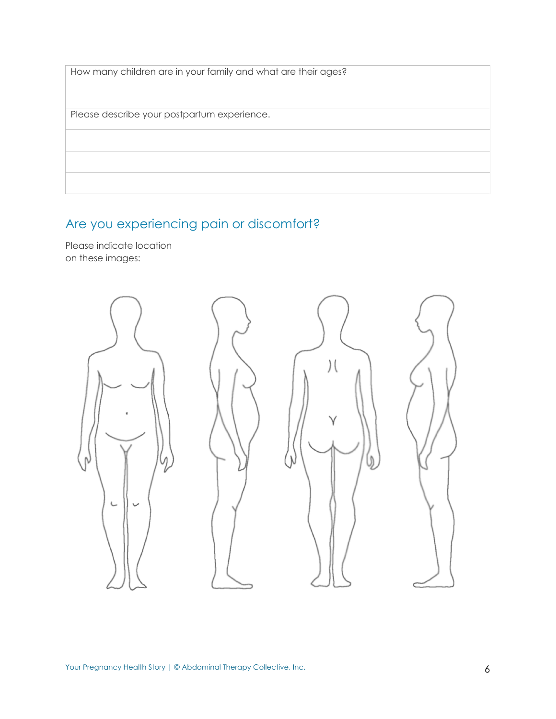| How many children are in your family and what are their ages? |
|---------------------------------------------------------------|
|                                                               |
| Please describe your postpartum experience.                   |
|                                                               |
|                                                               |
|                                                               |

# Are you experiencing pain or discomfort?

Please indicate location on these images: